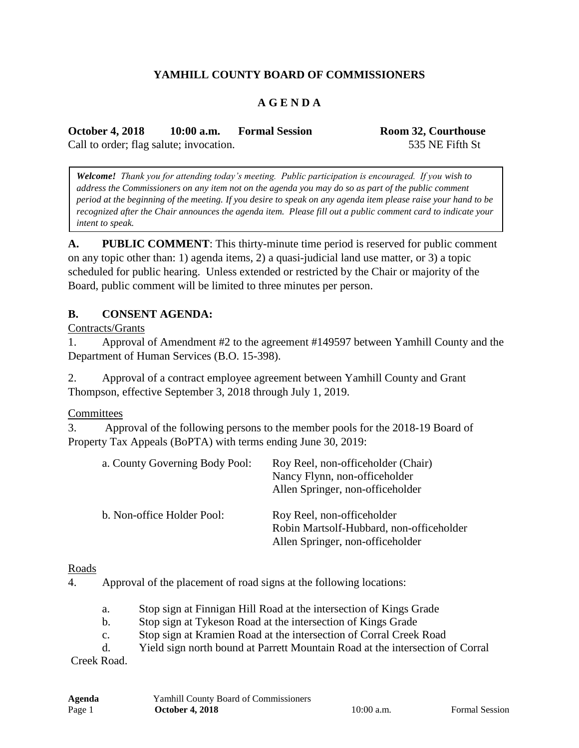# **YAMHILL COUNTY BOARD OF COMMISSIONERS**

### **A G E N D A**

**October 4, 2018 10:00 a.m. Formal Session Room 32, Courthouse** Call to order; flag salute; invocation. 535 NE Fifth St

*Welcome! Thank you for attending today's meeting. Public participation is encouraged. If you wish to address the Commissioners on any item not on the agenda you may do so as part of the public comment period at the beginning of the meeting. If you desire to speak on any agenda item please raise your hand to be recognized after the Chair announces the agenda item. Please fill out a public comment card to indicate your intent to speak.*

**A. PUBLIC COMMENT**: This thirty-minute time period is reserved for public comment on any topic other than: 1) agenda items, 2) a quasi-judicial land use matter, or 3) a topic scheduled for public hearing. Unless extended or restricted by the Chair or majority of the Board, public comment will be limited to three minutes per person.

### **B. CONSENT AGENDA:**

Contracts/Grants

1. Approval of Amendment #2 to the agreement #149597 between Yamhill County and the Department of Human Services (B.O. 15-398).

2. Approval of a contract employee agreement between Yamhill County and Grant Thompson, effective September 3, 2018 through July 1, 2019.

#### **Committees**

3. Approval of the following persons to the member pools for the 2018-19 Board of Property Tax Appeals (BoPTA) with terms ending June 30, 2019:

| a. County Governing Body Pool: | Roy Reel, non-officeholder (Chair)<br>Nancy Flynn, non-officeholder<br>Allen Springer, non-officeholder    |
|--------------------------------|------------------------------------------------------------------------------------------------------------|
| b. Non-office Holder Pool:     | Roy Reel, non-officeholder<br>Robin Martsolf-Hubbard, non-officeholder<br>Allen Springer, non-officeholder |

#### Roads

4. Approval of the placement of road signs at the following locations:

- a. Stop sign at Finnigan Hill Road at the intersection of Kings Grade
- b. Stop sign at Tykeson Road at the intersection of Kings Grade
- c. Stop sign at Kramien Road at the intersection of Corral Creek Road
- d. Yield sign north bound at Parrett Mountain Road at the intersection of Corral

Creek Road.

| Agenda | Yamhill County Board of Commissioners |              |                       |
|--------|---------------------------------------|--------------|-----------------------|
| Page 1 | <b>October 4, 2018</b>                | $10:00$ a.m. | <b>Formal Session</b> |